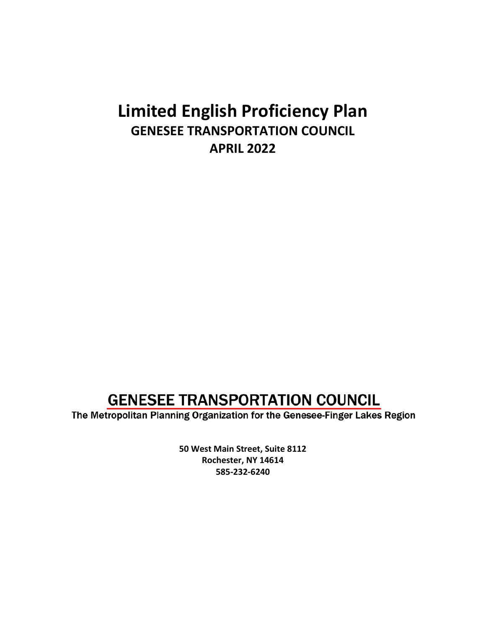## **Limited English Proficiency Plan GENESEE TRANSPORTATION COUNCIL APRIL 2022**

## **GENESEE TRANSPORTATION COUNCIL**

The Metropolitan Planning Organization for the Genesee-Finger Lakes Region

**50 West Main Street, Suite 8112 Rochester, NY 14614 585-232-6240**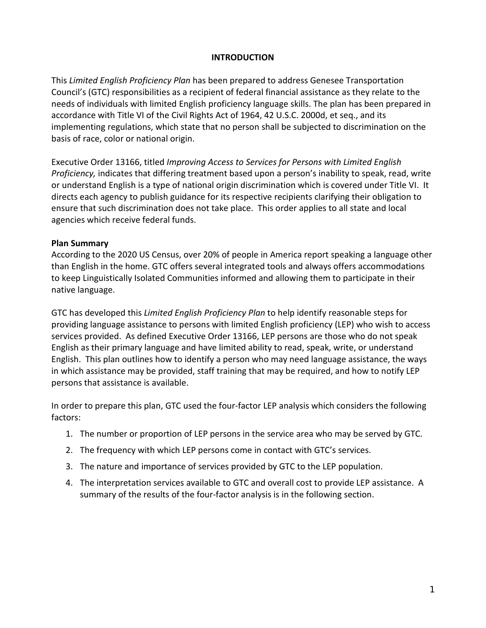#### **INTRODUCTION**

This *Limited English Proficiency Plan* has been prepared to address Genesee Transportation Council's (GTC) responsibilities as a recipient of federal financial assistance as they relate to the needs of individuals with limited English proficiency language skills. The plan has been prepared in accordance with Title VI of the Civil Rights Act of 1964, 42 U.S.C. 2000d, et seq., and its implementing regulations, which state that no person shall be subjected to discrimination on the basis of race, color or national origin.

Executive Order 13166, titled *Improving Access to Services for Persons with Limited English Proficiency,* indicates that differing treatment based upon a person's inability to speak, read, write or understand English is a type of national origin discrimination which is covered under Title VI. It directs each agency to publish guidance for its respective recipients clarifying their obligation to ensure that such discrimination does not take place. This order applies to all state and local agencies which receive federal funds.

#### **Plan Summary**

According to the 2020 US Census, over 20% of people in America report speaking a language other than English in the home. GTC offers several integrated tools and always offers accommodations to keep Linguistically Isolated Communities informed and allowing them to participate in their native language.

GTC has developed this *Limited English Proficiency Plan* to help identify reasonable steps for providing language assistance to persons with limited English proficiency (LEP) who wish to access services provided. As defined Executive Order 13166, LEP persons are those who do not speak English as their primary language and have limited ability to read, speak, write, or understand English. This plan outlines how to identify a person who may need language assistance, the ways in which assistance may be provided, staff training that may be required, and how to notify LEP persons that assistance is available.

In order to prepare this plan, GTC used the four-factor LEP analysis which considers the following factors:

- 1. The number or proportion of LEP persons in the service area who may be served by GTC.
- 2. The frequency with which LEP persons come in contact with GTC's services.
- 3. The nature and importance of services provided by GTC to the LEP population.
- 4. The interpretation services available to GTC and overall cost to provide LEP assistance. A summary of the results of the four-factor analysis is in the following section.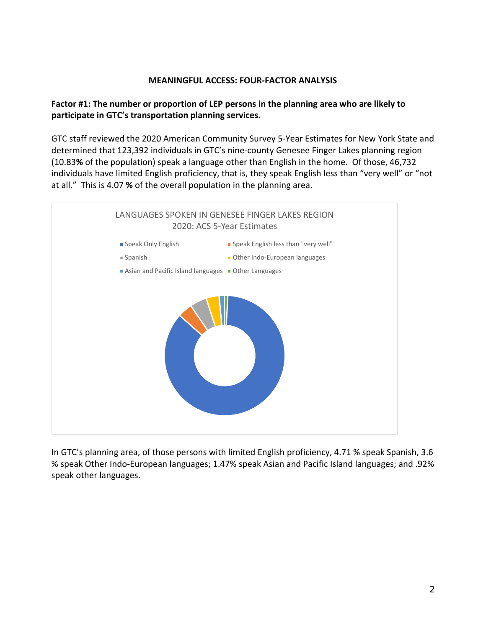#### **MEANINGFUL ACCESS: FOUR-FACTOR ANALYSIS**

## **Factor #1: The number or proportion of LEP persons in the planning area who are likely to participate in GTC's transportation planning services.**

GTC staff reviewed the 2020 American Community Survey 5-Year Estimates for New York State and determined that 123,392 individuals in GTC's nine-county Genesee Finger Lakes planning region (10.83**%** of the population) speak a language other than English in the home. Of those, 46,732 individuals have limited English proficiency, that is, they speak English less than "very well" or "not at all." This is 4.07 **%** of the overall population in the planning area.



In GTC's planning area, of those persons with limited English proficiency, 4.71 % speak Spanish, 3.6 % speak Other Indo-European languages; 1.47% speak Asian and Pacific Island languages; and .92% speak other languages.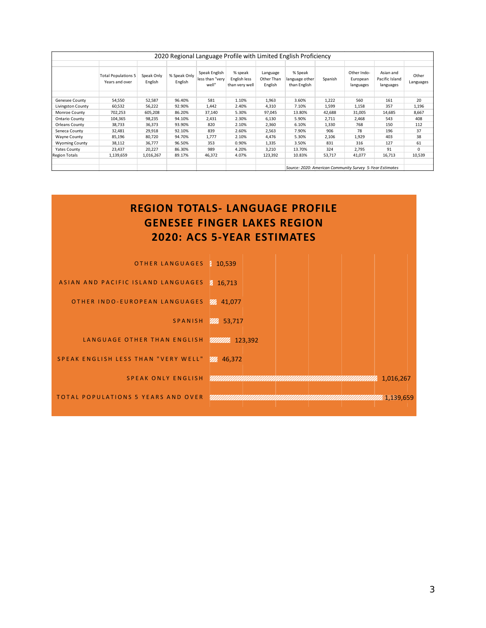| 2020 Regional Language Profile with Limited English Proficiency |                                              |                       |                         |                                           |                                           |                                   |                                                          |         |                                      |                                          |                    |
|-----------------------------------------------------------------|----------------------------------------------|-----------------------|-------------------------|-------------------------------------------|-------------------------------------------|-----------------------------------|----------------------------------------------------------|---------|--------------------------------------|------------------------------------------|--------------------|
|                                                                 |                                              |                       |                         |                                           |                                           |                                   |                                                          |         |                                      |                                          |                    |
|                                                                 | <b>Total Populations 5</b><br>Years and over | Speak Only<br>English | % Speak Only<br>English | Speak English<br>less than "very<br>well" | % speak<br>English less<br>than very well | Language<br>Other Than<br>English | % Speak<br>language other<br>than English                | Spanish | Other Indo-<br>European<br>languages | Asian and<br>Pacific Island<br>languages | Other<br>Languages |
|                                                                 |                                              |                       |                         |                                           |                                           |                                   |                                                          |         |                                      |                                          |                    |
| Genesee County                                                  | 54,550                                       | 52,587                | 96.40%                  | 581                                       | 1.10%                                     | 1,963                             | 3.60%                                                    | 1,222   | 560                                  | 161                                      | 20                 |
| Livingston County                                               | 60,532                                       | 56,222                | 92.90%                  | 1,442                                     | 2.40%                                     | 4,310                             | 7.10%                                                    | 1,599   | 1,158                                | 357                                      | 1,196              |
| Monroe County                                                   | 702,253                                      | 605,208               | 86.20%                  | 37,140                                    | 5.30%                                     | 97,045                            | 13.80%                                                   | 42,688  | 31,005                               | 14,685                                   | 8,667              |
| Ontario County                                                  | 104,365                                      | 98,235                | 94.10%                  | 2,431                                     | 2.30%                                     | 6,130                             | 5.90%                                                    | 2,711   | 2,468                                | 543                                      | 408                |
| <b>Orleans County</b>                                           | 38,733                                       | 36,373                | 93.90%                  | 820                                       | 2.10%                                     | 2,360                             | 6.10%                                                    | 1,330   | 768                                  | 150                                      | 112                |
| Seneca County                                                   | 32,481                                       | 29,918                | 92.10%                  | 839                                       | 2.60%                                     | 2,563                             | 7.90%                                                    | 906     | 78                                   | 196                                      | 37                 |
| Wayne County                                                    | 85,196                                       | 80,720                | 94.70%                  | 1,777                                     | 2.10%                                     | 4,476                             | 5.30%                                                    | 2,106   | 1,929                                | 403                                      | 38                 |
| <b>Wyoming County</b>                                           | 38,112                                       | 36,777                | 96.50%                  | 353                                       | 0.90%                                     | 1,335                             | 3.50%                                                    | 831     | 316                                  | 127                                      | 61                 |
| <b>Yates County</b>                                             | 23,437                                       | 20,227                | 86.30%                  | 989                                       | 4.20%                                     | 3,210                             | 13.70%                                                   | 324     | 2,795                                | 91                                       | 0                  |
| <b>Region Totals</b>                                            | 1,139,659                                    | 1,016,267             | 89.17%                  | 46,372                                    | 4.07%                                     | 123,392                           | 10.83%                                                   | 53,717  | 41,077                               | 16,713                                   | 10,539             |
|                                                                 |                                              |                       |                         |                                           |                                           |                                   | Source: 2020: American Community Survey 5-Year Estimates |         |                                      |                                          |                    |

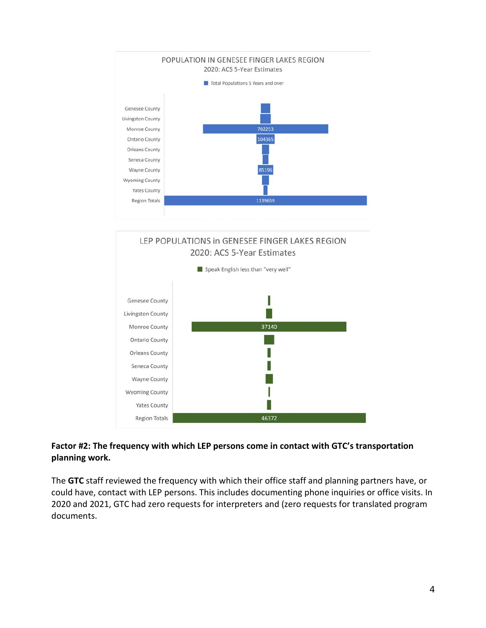



## **Factor #2: The frequency with which LEP persons come in contact with GTC's transportation planning work.**

The **GTC** staff reviewed the frequency with which their office staff and planning partners have, or could have, contact with LEP persons. This includes documenting phone inquiries or office visits. In 2020 and 2021, GTC had zero requests for interpreters and (zero requests for translated program documents.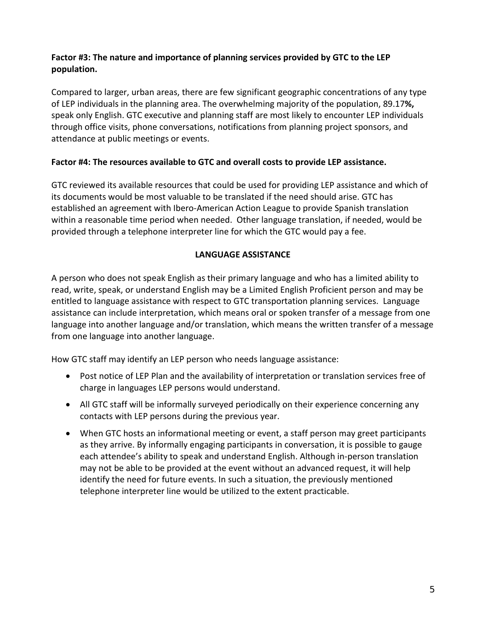## **Factor #3: The nature and importance of planning services provided by GTC to the LEP population.**

Compared to larger, urban areas, there are few significant geographic concentrations of any type of LEP individuals in the planning area. The overwhelming majority of the population, 89.17**%,** speak only English. GTC executive and planning staff are most likely to encounter LEP individuals through office visits, phone conversations, notifications from planning project sponsors, and attendance at public meetings or events.

## **Factor #4: The resources available to GTC and overall costs to provide LEP assistance.**

GTC reviewed its available resources that could be used for providing LEP assistance and which of its documents would be most valuable to be translated if the need should arise. GTC has established an agreement with Ibero-American Action League to provide Spanish translation within a reasonable time period when needed. Other language translation, if needed, would be provided through a telephone interpreter line for which the GTC would pay a fee.

## **LANGUAGE ASSISTANCE**

A person who does not speak English as their primary language and who has a limited ability to read, write, speak, or understand English may be a Limited English Proficient person and may be entitled to language assistance with respect to GTC transportation planning services. Language assistance can include interpretation, which means oral or spoken transfer of a message from one language into another language and/or translation, which means the written transfer of a message from one language into another language.

How GTC staff may identify an LEP person who needs language assistance:

- Post notice of LEP Plan and the availability of interpretation or translation services free of charge in languages LEP persons would understand.
- All GTC staff will be informally surveyed periodically on their experience concerning any contacts with LEP persons during the previous year.
- When GTC hosts an informational meeting or event, a staff person may greet participants as they arrive. By informally engaging participants in conversation, it is possible to gauge each attendee's ability to speak and understand English. Although in-person translation may not be able to be provided at the event without an advanced request, it will help identify the need for future events. In such a situation, the previously mentioned telephone interpreter line would be utilized to the extent practicable.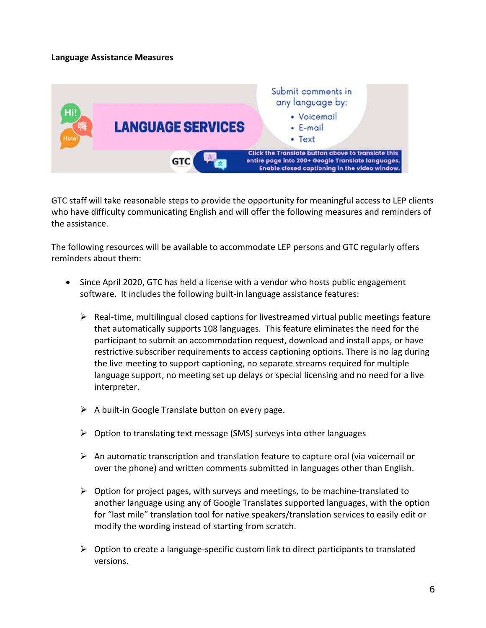#### **Language Assistance Measures**



GTC staff will take reasonable steps to provide the opportunity for meaningful access to LEP clients who have difficulty communicating English and will offer the following measures and reminders of the assistance.

The following resources will be available to accommodate LEP persons and GTC regularly offers reminders about them:

- Since April 2020, GTC has held a license with a vendor who hosts public engagement software. It includes the following built-in language assistance features:
	- $\triangleright$  Real-time, multilingual closed captions for livestreamed virtual public meetings feature that automatically supports 108 languages. This feature eliminates the need for the participant to submit an accommodation request, download and install apps, or have restrictive subscriber requirements to access captioning options. There is no lag during the live meeting to support captioning, no separate streams required for multiple language support, no meeting set up delays or special licensing and no need for a live interpreter.
	- $\triangleright$  A built-in Google Translate button on every page.
	- $\triangleright$  Option to translating text message (SMS) surveys into other languages
	- $\triangleright$  An automatic transcription and translation feature to capture oral (via voicemail or over the phone) and written comments submitted in languages other than English.
	- $\triangleright$  Option for project pages, with surveys and meetings, to be machine-translated to another language using any of Google Translates supported languages, with the option for "last mile" translation tool for native speakers/translation services to easily edit or modify the wording instead of starting from scratch.
	- $\triangleright$  Option to create a language-specific custom link to direct participants to translated versions.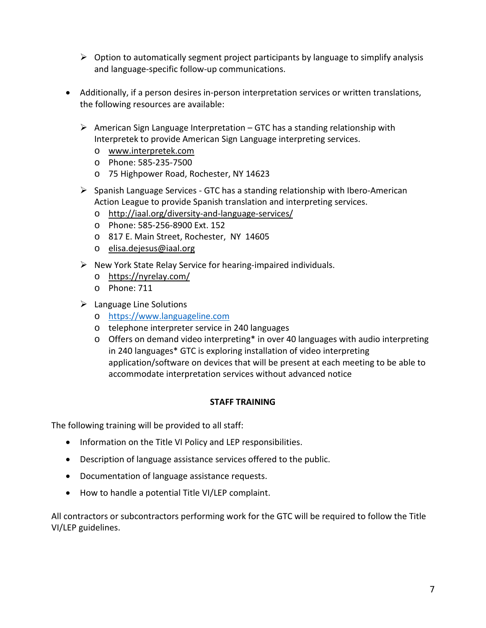- $\triangleright$  Option to automatically segment project participants by language to simplify analysis and language-specific follow-up communications.
- Additionally, if a person desires in-person interpretation services or written translations, the following resources are available:
	- $\triangleright$  American Sign Language Interpretation GTC has a standing relationship with Interpretek to provide American Sign Language interpreting services.
		- o [www.interpretek.com](http://www.interpretek.com/)
		- o Phone: 585-235-7500
		- o 75 Highpower Road, Rochester, NY 14623
	- $\triangleright$  Spanish Language Services GTC has a standing relationship with Ibero-American Action League to provide Spanish translation and interpreting services.
		- o <http://iaal.org/diversity-and-language-services/>
		- o Phone: 585-256-8900 Ext. 152
		- o 817 E. Main Street, Rochester, NY 14605
		- o [elisa.dejesus@iaal.org](mailto:elisa.dejesus@iaal.org)
	- $\triangleright$  New York State Relay Service for hearing-impaired individuals.
		- o <https://nyrelay.com/>
		- o Phone: 711
	- $\triangleright$  Language Line Solutions
		- o [https://www.languageline.com](https://www.languageline.com/)
		- o telephone interpreter service in 240 languages
		- o Offers on demand video interpreting\* in over 40 languages with audio interpreting in 240 languages\* GTC is exploring installation of video interpreting application/software on devices that will be present at each meeting to be able to accommodate interpretation services without advanced notice

## **STAFF TRAINING**

The following training will be provided to all staff:

- Information on the Title VI Policy and LEP responsibilities.
- Description of language assistance services offered to the public.
- Documentation of language assistance requests.
- How to handle a potential Title VI/LEP complaint.

All contractors or subcontractors performing work for the GTC will be required to follow the Title VI/LEP guidelines.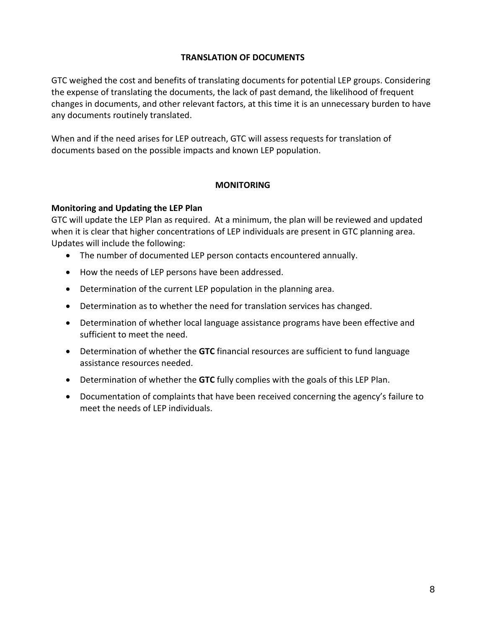#### **TRANSLATION OF DOCUMENTS**

GTC weighed the cost and benefits of translating documents for potential LEP groups. Considering the expense of translating the documents, the lack of past demand, the likelihood of frequent changes in documents, and other relevant factors, at this time it is an unnecessary burden to have any documents routinely translated.

When and if the need arises for LEP outreach, GTC will assess requests for translation of documents based on the possible impacts and known LEP population.

#### **MONITORING**

#### **Monitoring and Updating the LEP Plan**

GTC will update the LEP Plan as required. At a minimum, the plan will be reviewed and updated when it is clear that higher concentrations of LEP individuals are present in GTC planning area. Updates will include the following:

- The number of documented LEP person contacts encountered annually.
- How the needs of LEP persons have been addressed.
- Determination of the current LEP population in the planning area.
- Determination as to whether the need for translation services has changed.
- Determination of whether local language assistance programs have been effective and sufficient to meet the need.
- Determination of whether the **GTC** financial resources are sufficient to fund language assistance resources needed.
- Determination of whether the **GTC** fully complies with the goals of this LEP Plan.
- Documentation of complaints that have been received concerning the agency's failure to meet the needs of LEP individuals.